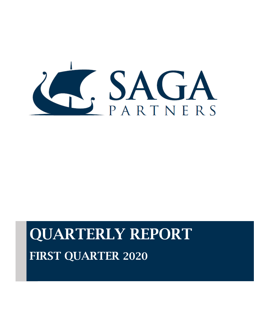

# QUARTERLY REPORT FIRST QUARTER 2020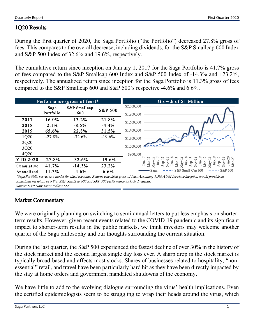# 1Q20 Results

During the first quarter of 2020, the Saga Portfolio ("the Portfolio") decreased 27.8% gross of fees. This compares to the overall decrease, including dividends, for the S&P Smallcap 600 Index and S&P 500 Index of 32.6% and 19.6%, respectively.

The cumulative return since inception on January 1, 2017 for the Saga Portfolio is 41.7% gross of fees compared to the S&P Smallcap 600 Index and S&P 500 Index of -14.3% and +23.2%, respectively. The annualized return since inception for the Saga Portfolio is 11.3% gross of fees compared to the S&P Smallcap 600 and S&P 500's respective -4.6% and 6.6%.



Source: S&P Dow Jones Indices LLC \*Saga Portfolio serves as a model for client accounts. Returns calculated gross of fees. Assuming 1.5% AUM fee since inception would provide an annualized net return of 9.8%. S&P Smallcap 600 and S&P 500 performance include dividends.

# Market Commentary

We were originally planning on switching to semi-annual letters to put less emphasis on shorterterm results. However, given recent events related to the COVID-19 pandemic and its significant impact to shorter-term results in the public markets, we think investors may welcome another quarter of the Saga philosophy and our thoughts surrounding the current situation.

During the last quarter, the S&P 500 experienced the fastest decline of over 30% in the history of the stock market and the second largest single day loss ever. A sharp drop in the stock market is typically broad-based and affects most stocks. Shares of businesses related to hospitality, "nonessential" retail, and travel have been particularly hard hit as they have been directly impacted by the stay at home orders and government mandated shutdowns of the economy.

We have little to add to the evolving dialogue surrounding the virus' health implications. Even the certified epidemiologists seem to be struggling to wrap their heads around the virus, which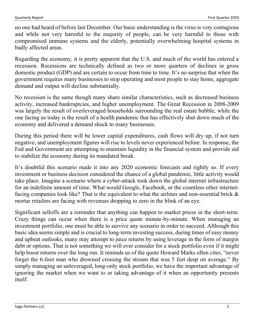no one had heard of before last December. Our basic understanding is the virus is very contagious and while not very harmful to the majority of people, can be very harmful to those with compromised immune systems and the elderly, potentially overwhelming hospital systems in badly affected areas.

Regarding the economy, it is pretty apparent that the U.S. and much of the world has entered a recession. Recessions are technically defined as two or more quarters of declines in gross domestic product (GDP) and are certain to occur from time to time. It's no surprise that when the government requires many businesses to stop operating and most people to stay home, aggregate demand and output will decline substantially.

No recession is the same though many share similar characteristics, such as decreased business activity, increased bankruptcies, and higher unemployment. The Great Recession in 2008-2009 was largely the result of overleveraged households surrounding the real estate bubble, while the one facing us today is the result of a health pandemic that has effectively shut down much of the economy and delivered a demand shock to many businesses.

During this period there will be lower capital expenditures, cash flows will dry up, if not turn negative, and unemployment figures will rise to levels never experienced before. In response, the Fed and Government are attempting to maintain liquidity in the financial system and provide aid to stabilize the economy during its mandated break.

It's doubtful this scenario made it into any 2020 economic forecasts and rightly so. If every investment or business decision considered the chance of a global pandemic, little activity would take place. Imagine a scenario where a cyber-attack took down the global internet infrastructure for an indefinite amount of time. What would Google, Facebook, or the countless other internetfacing companies look like? That is the equivalent to what the airlines and non-essential brick  $\&$ mortar retailers are facing with revenues dropping to zero in the blink of an eye.

Significant selloffs are a reminder that anything can happen to market prices in the short-term. Crazy things can occur when there is a price quote minute-by-minute. When managing an investment portfolio, one must be able to survive any scenario in order to succeed. Although this basic idea seems simple and is crucial to long-term investing success, during times of easy money and upbeat outlooks, many may attempt to juice returns by using leverage in the form of margin debt or options. That is not something we will ever consider for a stock portfolio even if it might help boost returns over the long run. It reminds us of the quote Howard Marks often cites, "never forget the 6-foot man who drowned crossing the stream that was 5 feet deep on average." By simply managing an unleveraged, long-only stock portfolio, we have the important advantage of ignoring the market when we want to or taking advantage of it when an opportunity presents itself.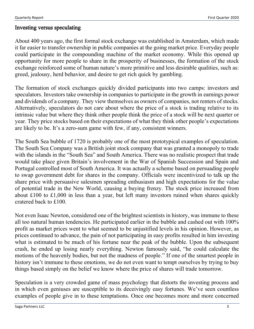### Investing versus speculating

About 400 years ago, the first formal stock exchange was established in Amsterdam, which made it far easier to transfer ownership in public companies at the going market price. Everyday people could participate in the compounding machine of the market economy. While this opened up opportunity for more people to share in the prosperity of businesses, the formation of the stock exchange reinforced some of human nature's more primitive and less desirable qualities, such as: greed, jealousy, herd behavior, and desire to get rich quick by gambling.

The formation of stock exchanges quickly divided participants into two camps: investors and speculators. Investors take ownership in companies to participate in the growth in earnings power and dividends of a company. They view themselves as owners of companies, not renters of stocks. Alternatively, speculators do not care about where the price of a stock is trading relative to its intrinsic value but where they think other people think the price of a stock will be next quarter or year. They price stocks based on their expectations of what they think other people's expectations are likely to be. It's a zero-sum game with few, if any, consistent winners.

The South Sea bubble of 1720 is probably one of the most prototypical examples of speculation. The South Sea Company was a British joint stock company that was granted a monopoly to trade with the islands in the "South Sea" and South America. There was no realistic prospect that trade would take place given Britain's involvement in the War of Spanish Succession and Spain and Portugal controlled most of South America. It was actually a scheme based on persuading people to swap government debt for shares in the company. Officials were incentivized to talk up the share price with persuasive salesmen spreading enthusiasm and high expectations for the value of potential trade in the New World, causing a buying frenzy. The stock price increased from about [£1](https://en.wikipedia.org/wiki/Pound_sign)00 to [£1](https://en.wikipedia.org/wiki/Pound_sign),000 in less than a year, but left many investors ruined when shares quickly cratered back to [£1](https://en.wikipedia.org/wiki/Pound_sign)00.

Not even Isaac Newton, considered one of the brightest scientists in history, was immune to these all too natural human tendencies. He participated earlier in the bubble and cashed out with 100% profit as market prices went to what seemed to be unjustified levels in his opinion. However, as prices continued to advance, the pain of not participating in easy profits resulted in him investing what is estimated to be much of his fortune near the peak of the bubble. Upon the subsequent crash, he ended up losing nearly everything. Newton famously said, "he could calculate the motions of the heavenly bodies, but not the madness of people." If one of the smartest people in history isn't immune to these emotions, we do not even want to tempt ourselves by trying to buy things based simply on the belief we know where the price of shares will trade tomorrow.

Speculation is a very crowded game of mass psychology that distorts the investing process and in which even geniuses are susceptible to its deceivingly easy fortunes. We've seen countless examples of people give in to these temptations. Once one becomes more and more concerned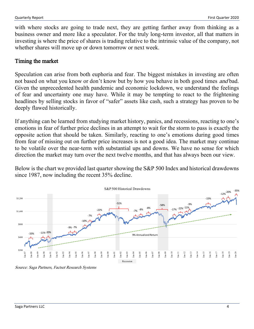with where stocks are going to trade next, they are getting farther away from thinking as a business owner and more like a speculator. For the truly long-term investor, all that matters in investing is where the price of shares is trading relative to the intrinsic value of the company, not whether shares will move up or down tomorrow or next week.

#### Timing the market

Speculation can arise from both euphoria and fear. The biggest mistakes in investing are often not based on what you know or don't know but by how you behave in both good times *and* bad. Given the unprecedented health pandemic and economic lockdown, we understand the feelings of fear and uncertainty one may have. While it may be tempting to react to the frightening headlines by selling stocks in favor of "safer" assets like cash, such a strategy has proven to be deeply flawed historically.

If anything can be learned from studying market history, panics, and recessions, reacting to one's emotions in fear of further price declines in an attempt to wait for the storm to pass is exactly the opposite action that should be taken. Similarly, reacting to one's emotions during good times from fear of missing out on further price increases is not a good idea. The market may continue to be volatile over the near-term with substantial ups and downs. We have no sense for which direction the market may turn over the next twelve months, and that has always been our view.

Below is the chart we provided last quarter showing the S&P 500 Index and historical drawdowns since 1987, now including the recent 35% decline.



Source: Saga Partners, Factset Research Systems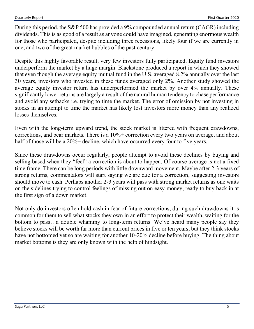During this period, the S&P 500 has provided a 9% compounded annual return (CAGR) including dividends. This is as good of a result as anyone could have imagined, generating enormous wealth for those who participated, despite including three recessions, likely four if we are currently in one, and two of the great market bubbles of the past century.

Despite this highly favorable result, very few investors fully participated. Equity fund investors underperform the market by a huge margin. Blackstone produced a report in which they showed that even though the average equity mutual fund in the U.S. averaged 8.2% annually over the last 30 years, investors who invested in these funds averaged only 2%. Another study showed the average equity investor return has underperformed the market by over 4% annually. These significantly lower returns are largely a result of the natural human tendency to chase performance and avoid any setbacks i.e. trying to time the market. The error of omission by not investing in stocks in an attempt to time the market has likely lost investors more money than any realized losses themselves.

Even with the long-term upward trend, the stock market is littered with frequent drawdowns, corrections, and bear markets. There is a 10%+ correction every two years on average, and about half of those will be a 20%+ decline, which have occurred every four to five years.

Since these drawdowns occur regularly, people attempt to avoid these declines by buying and selling based when they "feel" a correction is about to happen. Of course average is not a fixed time frame. There can be long periods with little downward movement. Maybe after 2-3 years of strong returns, commentators will start saying we are due for a correction, suggesting investors should move to cash. Perhaps another 2-3 years will pass with strong market returns as one waits on the sidelines trying to control feelings of missing out on easy money, ready to buy back in at the first sign of a down market.

Not only do investors often hold cash in fear of future corrections, during such drawdowns it is common for them to sell what stocks they own in an effort to protect their wealth, waiting for the bottom to pass…a double whammy to long-term returns. We've heard many people say they believe stocks will be worth far more than current prices in five or ten years, but they think stocks have not bottomed yet so are waiting for another 10-20% decline before buying. The thing about market bottoms is they are only known with the help of hindsight.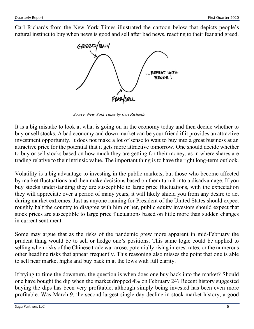Carl Richards from the New York Times illustrated the cartoon below that depicts people's natural instinct to buy when news is good and sell after bad news, reacting to their fear and greed.



Source: New York Times by Carl Richards

It is a big mistake to look at what is going on in the economy today and then decide whether to buy or sell stocks. A bad economy and down market can be your friend if it provides an attractive investment opportunity. It does not make a lot of sense to wait to buy into a great business at an attractive price for the potential that it gets more attractive tomorrow. One should decide whether to buy or sell stocks based on how much they are getting for their money, as in where shares are trading relative to their intrinsic value. The important thing is to have the right long-term outlook.

Volatility is a big advantage to investing in the public markets, but those who become affected by market fluctuations and then make decisions based on them turn it into a disadvantage. If you buy stocks understanding they are susceptible to large price fluctuations, with the expectation they will appreciate over a period of many years, it will likely shield you from any desire to act during market extremes. Just as anyone running for President of the United States should expect roughly half the country to disagree with him or her, public equity investors should expect that stock prices are susceptible to large price fluctuations based on little more than sudden changes in current sentiment.

Some may argue that as the risks of the pandemic grew more apparent in mid-February the prudent thing would be to sell or hedge one's positions. This same logic could be applied to selling when risks of the Chinese trade war arose, potentially rising interest rates, or the numerous other headline risks that appear frequently. This reasoning also misses the point that one is able to sell near market highs and buy back in at the lows with full clarity.

If trying to time the downturn, the question is when does one buy back into the market? Should one have bought the dip when the market dropped 4% on February 24? Recent history suggested buying the dips has been very profitable, although simply being invested has been even more profitable. Was March 9, the second largest single day decline in stock market history, a good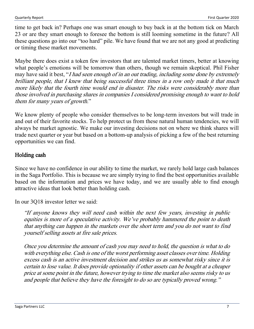time to get back in? Perhaps one was smart enough to buy back in at the bottom tick on March 23 or are they smart enough to foresee the bottom is still looming sometime in the future? All these questions go into our "too hard" pile. We have found that we are not any good at predicting or timing these market movements.

Maybe there does exist a token few investors that are talented market timers, better at knowing what people's emotions will be tomorrow than others, though we remain skeptical. Phil Fisher may have said it best, "I had seen enough of in an out trading, including some done by extremely brilliant people, that I knew that being successful three times in a row only made it that much more likely that the fourth time would end in disaster. The risks were considerably more than those involved in purchasing shares in companies I considered promising enough to want to hold them for many years of growth."

We know plenty of people who consider themselves to be long-term investors but will trade in and out of their favorite stocks. To help protect us from these natural human tendencies, we will always be market agnostic. We make our investing decisions not on where we think shares will trade next quarter or year but based on a bottom-up analysis of picking a few of the best returning opportunities we can find.

## Holding cash

Since we have no confidence in our ability to time the market, we rarely hold large cash balances in the Saga Portfolio. This is because we are simply trying to find the best opportunities available based on the information and prices we have today, and we are usually able to find enough attractive ideas that look better than holding cash.

In our 3Q18 investor letter we said:

"If anyone knows they will need cash within the next few years, investing in public equities is more of a speculative activity. We've probably hammered the point to death that anything can happen in the markets over the short term and you do not want to find yourself selling assets at fire sale prices.

Once you determine the amount of cash you may need to hold, the question is what to do with everything else. Cash is one of the worst performing asset classes over time. Holding excess cash is an active investment decision and strikes us as somewhat risky since it is certain to lose value. It does provide optionality if other assets can be bought at a cheaper price at some point in the future, however trying to time the market also seems risky to us and people that believe they have the foresight to do so are typically proved wrong."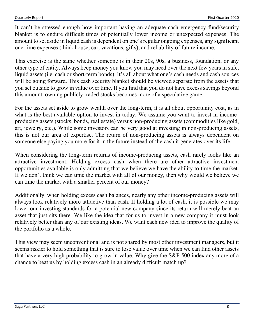It can't be stressed enough how important having an adequate cash emergency fund/security blanket is to endure difficult times of potentially lower income or unexpected expenses. The amount to set aside in liquid cash is dependent on one's regular ongoing expenses, any significant one-time expenses (think house, car, vacations, gifts), and reliability of future income.

This exercise is the same whether someone is in their 20s, 90s, a business, foundation, or any other type of entity. Always keep money you know you may need over the next few years in safe, liquid assets (i.e. cash or short-term bonds). It's all about what one's cash needs and cash sources will be going forward. This cash security blanket should be viewed separate from the assets that you set outside to grow in value over time. If you find that you do not have excess savings beyond this amount, owning publicly traded stocks becomes more of a speculative game.

For the assets set aside to grow wealth over the long-term, it is all about opportunity cost, as in what is the best available option to invest in today. We assume you want to invest in incomeproducing assets (stocks, bonds, real estate) versus non-producing assets (commodities like gold, art, jewelry, etc.). While some investors can be very good at investing in non-producing assets, this is not our area of expertise. The return of non-producing assets is always dependent on someone else paying you more for it in the future instead of the cash it generates over its life.

When considering the long-term returns of income-producing assets, cash rarely looks like an attractive investment. Holding excess cash when there are other attractive investment opportunities available is only admitting that we believe we have the ability to time the market. If we don't think we can time the market with all of our money, then why would we believe we can time the market with a smaller percent of our money?

Additionally, when holding excess cash balances, nearly any other income-producing assets will always look relatively more attractive than cash. If holding a lot of cash, it is possible we may lower our investing standards for a potential new company since its return will merely beat an asset that just sits there. We like the idea that for us to invest in a new company it must look relatively better than any of our existing ideas. We want each new idea to improve the quality of the portfolio as a whole.

This view may seem unconventional and is not shared by most other investment managers, but it seems riskier to hold something that is sure to lose value over time when we can find other assets that have a very high probability to grow in value. Why give the S&P 500 index any more of a chance to beat us by holding excess cash in an already difficult match up?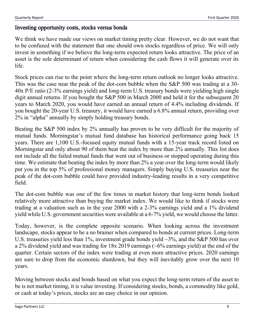## Investing opportunity costs, stocks versus bonds

We think we have made our views on market timing pretty clear. However, we do not want that to be confused with the statement that one should own stocks regardless of price. We will only invest in something if we believe the long-term expected return looks attractive. The price of an asset is the sole determinant of return when considering the cash flows it will generate over its life.

Stock prices can rise to the point where the long-term return outlook no longer looks attractive. This was the case near the peak of the dot-com bubble when the S&P 500 was trading at a 30- 40x P/E ratio (2-3% earnings yield) and long-term U.S. treasury bonds were yielding high single digit annual returns. If you bought the S&P 500 in March 2000 and held it for the subsequent 20 years to March 2020, you would have earned an annual return of 4.4% including dividends. If you bought the 20-year U.S. treasury, it would have earned a 6.8% annual return, providing over 2% in "alpha" annually by simply holding treasury bonds.

Beating the S&P 500 index by 2% annually has proven to be very difficult for the majority of mutual funds. Morningstar's mutual fund database has historical performance going back 15 years. There are 1,100 U.S.-focused equity mutual funds with a 15-year track record listed on Morningstar and only about 90 of them beat the index by more than 2% annually. This list does not include all the failed mutual funds that went out of business or stopped operating during this time. We estimate that beating the index by more than 2% a year over the long-term would likely put you in the top 5% of professional money managers. Simply buying U.S. treasuries near the peak of the dot-com bubble could have provided industry-leading results in a very competitive field.

The dot-com bubble was one of the few times in market history that long-term bonds looked relatively more attractive than buying the market index. We would like to think if stocks were trading at a valuation such as in the year 2000 with a 2-3% earnings yield and a 1% dividend yield while U.S. government securities were available at a 6-7% yield, we would choose the latter.

Today, however, is the complete opposite scenario. When looking across the investment landscape, stocks appear to be a no brainer when compared to bonds at current prices. Long-term U.S. treasuries yield less than 1%, investment grade bonds yield  $\sim$ 3%, and the S&P 500 has over a 2% dividend yield and was trading for  $18x 2019$  earnings ( $\sim 6\%$  earnings yield) at the end of the quarter. Certain sectors of the index were trading at even more attractive prices. 2020 earnings are sure to drop from the economic shutdown, but they will inevitably grow over the next 10 years.

Moving between stocks and bonds based on what you expect the long-term return of the asset to be is not market timing, it is value investing. If considering stocks, bonds, a commodity like gold, or cash at today's prices, stocks are an easy choice in our opinion.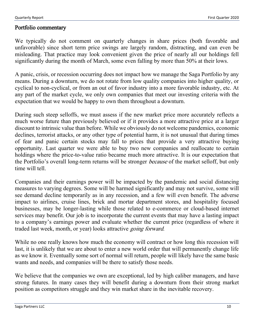### Portfolio commentary

We typically do not comment on quarterly changes in share prices (both favorable and unfavorable) since short term price swings are largely random, distracting, and can even be misleading. That practice may look convenient given the price of nearly all our holdings fell significantly during the month of March, some even falling by more than 50% at their lows.

A panic, crisis, or recession occurring does not impact how we manage the Saga Portfolio by any means. During a downturn, we do not rotate from low quality companies into higher quality, or cyclical to non-cyclical, or from an out of favor industry into a more favorable industry, etc. At any part of the market cycle, we only own companies that meet our investing criteria with the expectation that we would be happy to own them throughout a downturn.

During such steep selloffs, we must assess if the new market price more accurately reflects a much worse future than previously believed or if it provides a more attractive price at a larger discount to intrinsic value than before. While we obviously do not welcome pandemics, economic declines, terrorist attacks, or any other type of potential harm, it is not unusual that during times of fear and panic certain stocks may fall to prices that provide a very attractive buying opportunity. Last quarter we were able to buy two new companies and reallocate to certain holdings where the price-to-value ratio became much more attractive. It is our expectation that the Portfolio's overall long-term returns will be stronger because of the market selloff, but only time will tell.

Companies and their earnings power will be impacted by the pandemic and social distancing measures to varying degrees. Some will be harmed significantly and may not survive, some will see demand decline temporarily as in any recession, and a few will even benefit. The adverse impact to airlines, cruise lines, brick and mortar department stores, and hospitality focused businesses, may be longer-lasting while those related to e-commerce or cloud-based internet services may benefit. Our job is to incorporate the current events that may have a lasting impact to a company's earnings power and evaluate whether the current price (regardless of where it traded last week, month, or year) looks attractive going forward.

While no one really knows how much the economy will contract or how long this recession will last, it is unlikely that we are about to enter a new world order that will permanently change life as we know it. Eventually some sort of normal will return, people will likely have the same basic wants and needs, and companies will be there to satisfy those needs.

We believe that the companies we own are exceptional, led by high caliber managers, and have strong futures. In many cases they will benefit during a downturn from their strong market position as competitors struggle and they win market share in the inevitable recovery.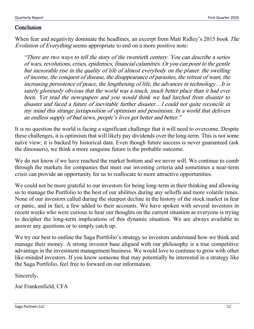## **Conclusion**

When fear and negativity dominate the headlines, an excerpt from Matt Ridley's 2015 book *The* Evolution of Everything seems appropriate to end on a more positive note:

"There are two ways to tell the story of the twentieth century. You can describe a series of wars, revolutions, crises, epidemics, financial calamities. Or you can point to the gentle but inexorable rise in the quality of life of almost everybody on the planet: the swelling of income, the conquest of disease, the disappearance of parasites, the retreat of want, the increasing persistence of peace, the lengthening of life, the advances in technology…It is surely gloriously obvious that the world was a much, much better place than it had ever been. Yet read the newspapers and you would think we had lurched from disaster to disaster and faced a future of inevitable further disaster…I could not quite reconcile in my mind this strange juxtaposition of optimism and pessimism. In a world that delivers an endless supply of bad news, people's lives get better and better."

It is no question the world is facing a significant challenge that it will need to overcome. Despite these challenges, it is optimism that will likely pay dividends over the long-term. This is not some naïve view; it is backed by historical data. Even though future success is never guaranteed (ask the dinosaurs), we think a more sanguine future is the probable outcome.

We do not know if we have reached the market bottom and we never will. We continue to comb through the markets for companies that meet our investing criteria and sometimes a near-term crisis can provide an opportunity for us to reallocate to more attractive opportunities.

We could not be more grateful to our investors for being long-term in their thinking and allowing us to manage the Portfolio to the best of our abilities during any selloffs and more volatile times. None of our investors called during the steepest decline in the history of the stock market in fear or panic, and in fact, a few added to their accounts. We have spoken with several investors in recent weeks who were curious to hear our thoughts on the current situation as everyone is trying to decipher the long-term implications of this dynamic situation. We are always available to answer any questions or to simply catch up.

We try our best to outline the Saga Portfolio's strategy so investors understand how we think and manage their money. A strong investor base aligned with our philosophy is a true competitive advantage in the investment management business. We would love to continue to grow with other like-minded investors. If you know someone that may potentially be interested in a strategy like the Saga Portfolio, feel free to forward on our information.

Sincerely,

Joe Frankenfield, CFA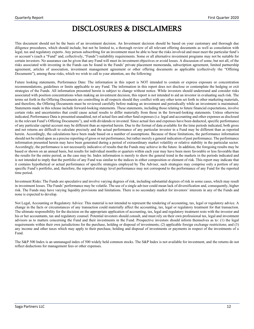# DISCLOSURES & DISCLAIMERS

This document should not be the basis of an investment decision. An Investment decision should be based on your customary and thorough due diligence procedures, which should include, but not be limited to, a thorough review of all relevant offering documents as well as consolation with legal, tax and regulatory experts. Any person subscribing for an investment must be able to bear the risks involved and must meet the particular fund's or account's (each a "Fund" and, collectively, "Funds") suitability requirements. Some or all alternative investment programs may not be suitable for certain investors. No assurance can be given that any Fund will meet its investment objectives or avoid losses. A discussion of some, but not all, of the risks associated with investing in the Funds can be found in the Funds' private placement memoranda, subscription agreement, limited partnership agreement, articles of association, investment management agreement or other offering documents as applicable (collectively the "Offering Documents"), among those risks, which we wish to call to your attention, are the following:

Future looking statements, Performance Date: The information in this report is NOT intended to contain or express exposure or concentration recommendations, guidelines or limits applicable to any Fund. The information in this report does not disclose or contemplate the hedging or exit strategies of the Funds. All information presented herein is subject to change without notice. While investors should understand and consider risks associated with position concentrations when making an investment decision, this report is not intended to aid an investor in evaluating such risk. The terms set forth in the Offering Documents are controlling in all respects should they conflict with any other term set forth in other marketing materials, and therefore, the Offering Documents must be reviewed carefully before making an investment and periodically while an investment is maintained. Statements made in this release include forward-looking statements. These statements, including those relating to future financial expectations, involve certain risks and uncertainties that could cause actual results to differ materially from those in the forward-looking statements. Unless otherwise indicated, Performance Data is presented unaudited, net of actual fees and other fund expenses (i.e. legal and accounting and other expenses as disclosed in the relevant Fund's Offering Documents"), and with dividends re invested. Since actual fees and expenses have been deducted, specific performance of any particular capital account may be different than as reported herein. Due to the format of data available for the time periods indicated, both gross and net returns are difficult to calculate precisely and the actual performance of any particular investor in a Fund may be different than as reported herein. Accordingly, the calculations have been made based on a number of assumptions. Because of these limitations, the performance information should not be relied upon as a precise reporting of gross or net performance, but rather merely a general indication of past performance. The performance information presented herein may have been generated during a period of extraordinary market volatility or relative stability in the particular sector. Accordingly, the performance is not necessarily indicative of results that the Funds may achieve in the future. In addition, the foregoing results may be based or shown on an annual basis, but results for individual months or quarters within each year may have been more favorable or less favorable than the results for the entire period, as the case may be. Index information is merely to show the general trend in the markets in the periods indicated and is not intended to imply that the portfolio of any Fund was similar to the indices in either composition or element of risk. This report may indicate that it contains hypothetical or actual performance of specific strategies employed by The Adviser, such strategies may comprise only a portion of any specific Fund's portfolio, and, therefore, the reported strategy level performance may not correspond to the performance of any Fund for the reported time period.

Investment Risks: The Funds are speculative and involve varying degrees of risk, including substantial degrees of risk in some cases, which may result in investment losses. The Funds' performance may be volatile. The use of a single advisor could mean lack of diversification and, consequently, higher risk. The Funds may have varying liquidity provisions and limitations. There is no secondary market for investors' interests in any of the Funds and none is expected to develop.

Not Legal, Accounting or Regulatory Advice: This material is not intended to represent the rendering of accounting, tax, legal or regulatory advice. A change in the facts or circumstances of any transaction could materially affect the accounting, tax, legal or regulatory treatment for that transaction. The ultimate responsibility for the decision on the appropriate application of accounting, tax, legal and regulatory treatment rests with the investor and his or her accountants, tax and regulatory counsel. Potential investors should consult, and must rely on their own professional tax, legal and investment advisors as to matters concerning the Fund and their investments in the Fund. Prospective investors should inform themselves as to: (1) the legal requirements within their own jurisdictions for the purchase, holding or disposal of investments; (2) applicable foreign exchange restrictions; and (3) any income and other taxes which may apply to their purchase, holding and disposal of investments or payments in respect of the investments of a Fund.

The S&P 500 Index is an unmanaged index of 500 widely held common stocks. The S&P Index is not available for investment, and the returns do not reflect deductions for management fees or other expenses.